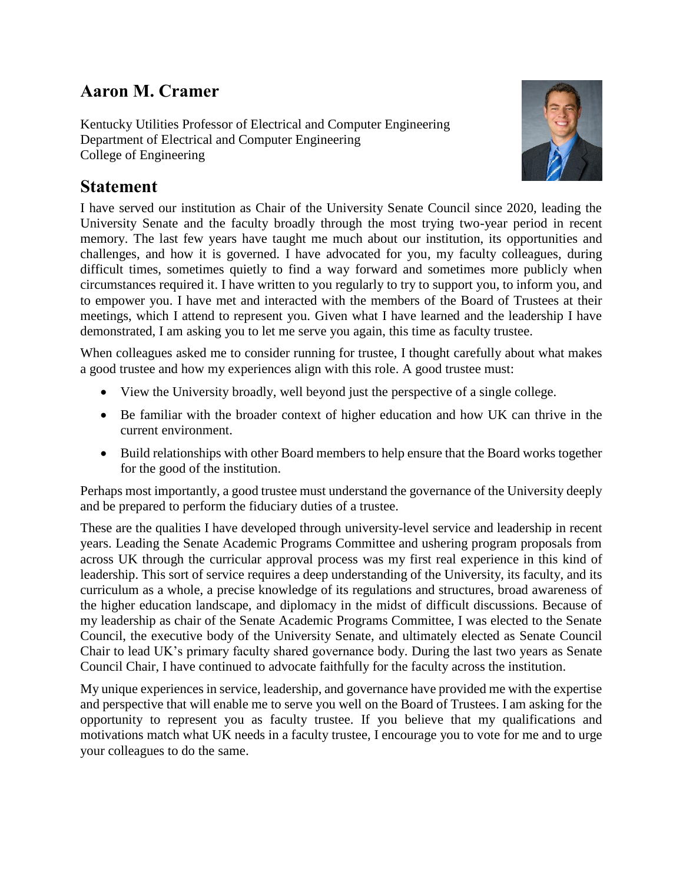## **Aaron M. Cramer**

Kentucky Utilities Professor of Electrical and Computer Engineering Department of Electrical and Computer Engineering College of Engineering



## **Statement**

I have served our institution as Chair of the University Senate Council since 2020, leading the University Senate and the faculty broadly through the most trying two-year period in recent memory. The last few years have taught me much about our institution, its opportunities and challenges, and how it is governed. I have advocated for you, my faculty colleagues, during difficult times, sometimes quietly to find a way forward and sometimes more publicly when circumstances required it. I have written to you regularly to try to support you, to inform you, and to empower you. I have met and interacted with the members of the Board of Trustees at their meetings, which I attend to represent you. Given what I have learned and the leadership I have demonstrated, I am asking you to let me serve you again, this time as faculty trustee.

When colleagues asked me to consider running for trustee, I thought carefully about what makes a good trustee and how my experiences align with this role. A good trustee must:

- View the University broadly, well beyond just the perspective of a single college.
- Be familiar with the broader context of higher education and how UK can thrive in the current environment.
- Build relationships with other Board members to help ensure that the Board works together for the good of the institution.

Perhaps most importantly, a good trustee must understand the governance of the University deeply and be prepared to perform the fiduciary duties of a trustee.

These are the qualities I have developed through university-level service and leadership in recent years. Leading the Senate Academic Programs Committee and ushering program proposals from across UK through the curricular approval process was my first real experience in this kind of leadership. This sort of service requires a deep understanding of the University, its faculty, and its curriculum as a whole, a precise knowledge of its regulations and structures, broad awareness of the higher education landscape, and diplomacy in the midst of difficult discussions. Because of my leadership as chair of the Senate Academic Programs Committee, I was elected to the Senate Council, the executive body of the University Senate, and ultimately elected as Senate Council Chair to lead UK's primary faculty shared governance body. During the last two years as Senate Council Chair, I have continued to advocate faithfully for the faculty across the institution.

My unique experiences in service, leadership, and governance have provided me with the expertise and perspective that will enable me to serve you well on the Board of Trustees. I am asking for the opportunity to represent you as faculty trustee. If you believe that my qualifications and motivations match what UK needs in a faculty trustee, I encourage you to vote for me and to urge your colleagues to do the same.